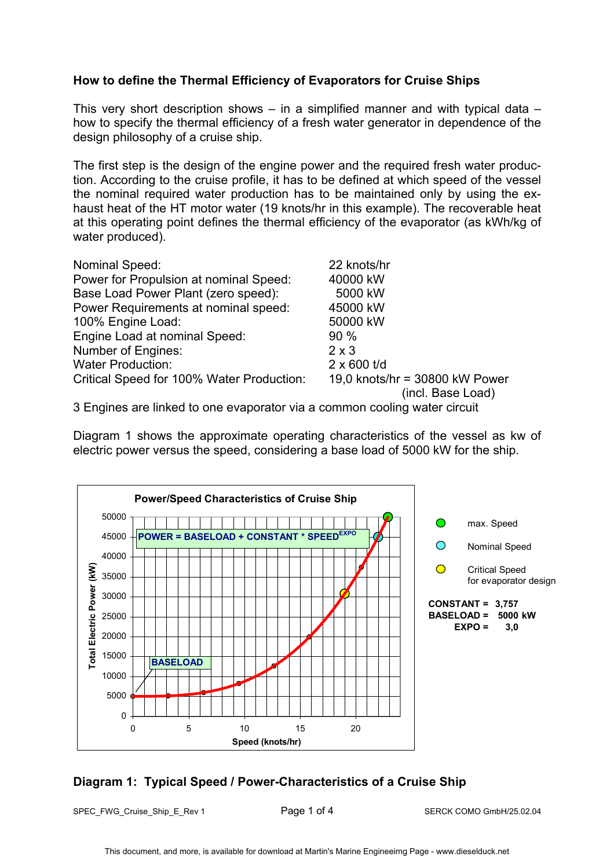### **How to define the Thermal Efficiency of Evaporators for Cruise Ships**

This very short description shows – in a simplified manner and with typical data – how to specify the thermal efficiency of a fresh water generator in dependence of the design philosophy of a cruise ship.

The first step is the design of the engine power and the required fresh water production. According to the cruise profile, it has to be defined at which speed of the vessel the nominal required water production has to be maintained only by using the exhaust heat of the HT motor water (19 knots/hr in this example). The recoverable heat at this operating point defines the thermal efficiency of the evaporator (as kWh/kg of water produced).

| Nominal Speed:                            | 22 knots/hr                    |
|-------------------------------------------|--------------------------------|
| Power for Propulsion at nominal Speed:    | 40000 kW                       |
| Base Load Power Plant (zero speed):       | 5000 kW                        |
| Power Requirements at nominal speed:      | 45000 kW                       |
| 100% Engine Load:                         | 50000 kW                       |
| Engine Load at nominal Speed:             | 90%                            |
| Number of Engines:                        | $2 \times 3$                   |
| <b>Water Production:</b>                  | $2 \times 600$ t/d             |
| Critical Speed for 100% Water Production: | 19,0 knots/hr = 30800 kW Power |
|                                           | (incl. Base Load)              |

3 Engines are linked to one evaporator via a common cooling water circuit

Diagram 1 shows the approximate operating characteristics of the vessel as kw of electric power versus the speed, considering a base load of 5000 kW for the ship.



## **Diagram 1: Typical Speed / Power-Characteristics of a Cruise Ship**

SPEC\_FWG\_Cruise\_Ship\_E\_Rev 1 Page 1 of 4 SERCK COMO GmbH/25.02.04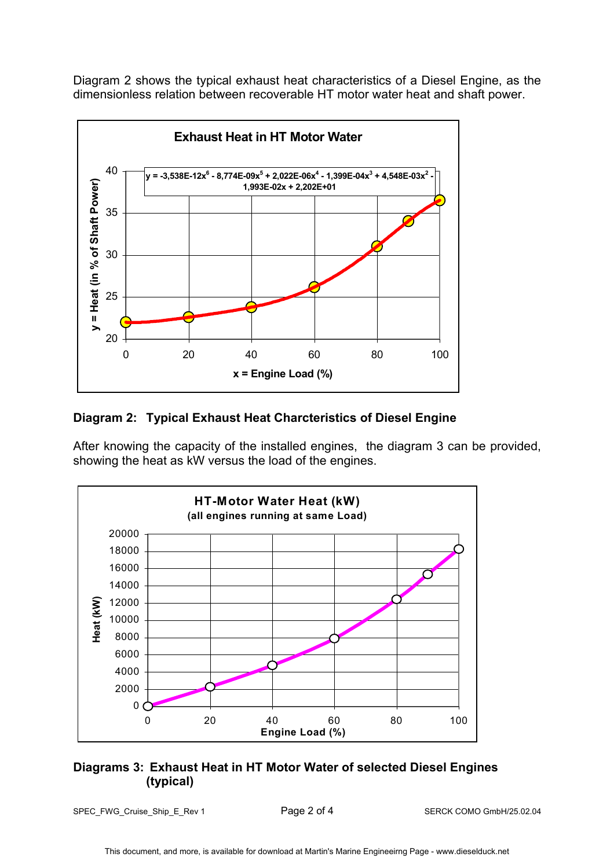Diagram 2 shows the typical exhaust heat characteristics of a Diesel Engine, as the dimensionless relation between recoverable HT motor water heat and shaft power.



## **Diagram 2: Typical Exhaust Heat Charcteristics of Diesel Engine**

After knowing the capacity of the installed engines, the diagram 3 can be provided, showing the heat as kW versus the load of the engines.



## **Diagrams 3: Exhaust Heat in HT Motor Water of selected Diesel Engines (typical)**

SPEC\_FWG\_Cruise\_Ship\_E\_Rev 1 Page 2 of 4 SERCK COMO GmbH/25.02.04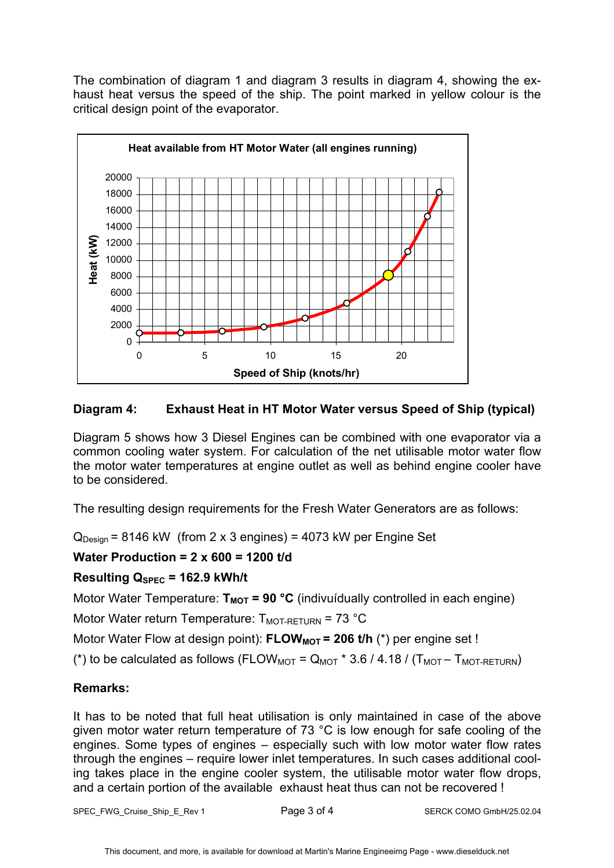The combination of diagram 1 and diagram 3 results in diagram 4, showing the exhaust heat versus the speed of the ship. The point marked in yellow colour is the critical design point of the evaporator.



# **Diagram 4: Exhaust Heat in HT Motor Water versus Speed of Ship (typical)**

Diagram 5 shows how 3 Diesel Engines can be combined with one evaporator via a common cooling water system. For calculation of the net utilisable motor water flow the motor water temperatures at engine outlet as well as behind engine cooler have to be considered.

The resulting design requirements for the Fresh Water Generators are as follows:

 $Q_{\text{Design}}$  = 8146 kW (from 2 x 3 engines) = 4073 kW per Engine Set

## **Water Production = 2 x 600 = 1200 t/d**

## **Resulting QSPEC = 162.9 kWh/t**

Motor Water Temperature:  $T_{MOT}$  = 90 °C (indivuídually controlled in each engine)

Motor Water return Temperature:  $T_{MOT-RETURN}$  = 73 °C

Motor Water Flow at design point): **FLOW<sub>MOT</sub> = 206 t/h** (\*) per engine set !

(\*) to be calculated as follows (FLOW<sub>MOT</sub> =  $Q_{MOT}$  \* 3.6 / 4.18 / ( $T_{MOT}$  –  $T_{MOT-RETURN}$ )

## **Remarks:**

It has to be noted that full heat utilisation is only maintained in case of the above given motor water return temperature of 73 °C is low enough for safe cooling of the engines. Some types of engines – especially such with low motor water flow rates through the engines – require lower inlet temperatures. In such cases additional cooling takes place in the engine cooler system, the utilisable motor water flow drops, and a certain portion of the available exhaust heat thus can not be recovered !

SPEC\_FWG\_Cruise\_Ship\_E\_Rev 1 Page 3 of 4 SERCK COMO GmbH/25.02.04